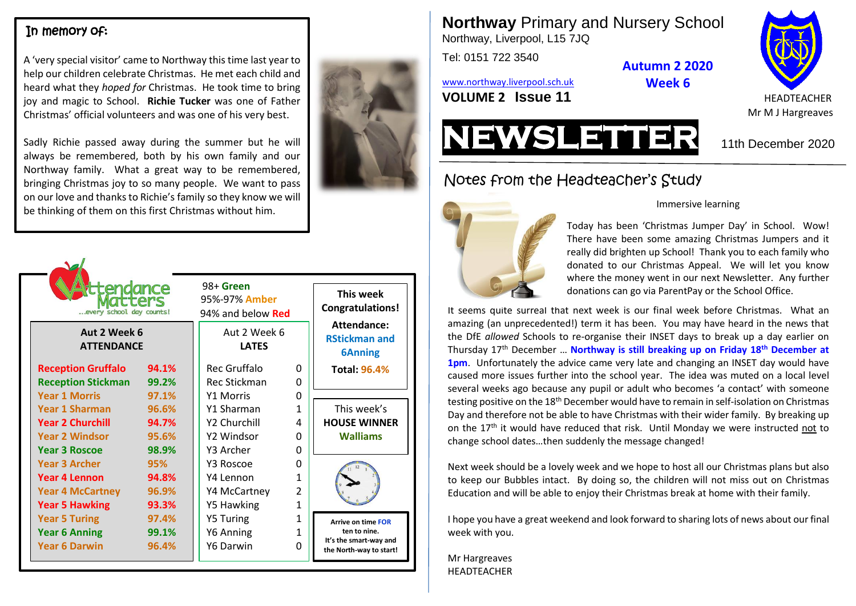#### In memory of:

A 'very special visitor' came to Northway this time last year to help our children celebrate Christmas. He met each child and heard what they *hoped for* Christmas. He took time to bring joy and magic to School. **Richie Tucker** was one of Father Christmas' official volunteers and was one of his very best.

Sadly Richie passed away during the summer but he will always be remembered, both by his own family and our Northway family. What a great way to be remembered, bringing Christmas joy to so many people. We want to pass on our love and thanks to Richie's family so they know we will be thinking of them on this first Christmas without him.

| tendance<br>every school day counts!<br>Aut 2 Week 6<br><b>ATTENDANCE</b>                                         |                                         | 98+ Green<br>95%-97% Amber<br>94% and below <b>Red</b><br>Aut 2 Week 6<br><b>LATES</b> |                                                         | This week<br><b>Congratulations!</b><br>Attendance:<br><b>RStickman and</b><br><b>6Anning</b>  |
|-------------------------------------------------------------------------------------------------------------------|-----------------------------------------|----------------------------------------------------------------------------------------|---------------------------------------------------------|------------------------------------------------------------------------------------------------|
| <b>Reception Gruffalo</b><br><b>Reception Stickman</b>                                                            | 94.1%<br>99.2%                          | Rec Gruffalo<br>Rec Stickman                                                           | 0<br>0                                                  | <b>Total: 96.4%</b>                                                                            |
| <b>Year 1 Morris</b><br><b>Year 1 Sharman</b><br><b>Year 2 Churchill</b><br><b>Year 2 Windsor</b>                 | 97.1%<br>96.6%<br>94.7%<br>95.6%        | <b>Y1 Morris</b><br>Y1 Sharman<br>Y2 Churchill<br>Y2 Windsor                           | O<br>1<br>4<br>0                                        | This week's<br><b>HOUSE WINNER</b><br><b>Walliams</b>                                          |
| <b>Year 3 Roscoe</b><br><b>Year 3 Archer</b><br>Year 4 Lennon<br><b>Year 4 McCartney</b><br><b>Year 5 Hawking</b> | 98.9%<br>95%<br>94.8%<br>96.9%<br>93.3% | Y3 Archer<br>Y3 Roscoe<br>Y4 Lennon<br>Y4 McCartney<br>Y5 Hawking                      | O<br>O<br>1<br>$\overline{\mathcal{L}}$<br>$\mathbf{1}$ |                                                                                                |
| <b>Year 5 Turing</b><br><b>Year 6 Anning</b><br><b>Year 6 Darwin</b>                                              | 97.4%<br>99.1%<br>96.4%                 | <b>Y5 Turing</b><br>Y6 Anning<br>Y6 Darwin                                             | $\mathbf{1}$<br>1<br>O                                  | <b>Arrive on time FOR</b><br>ten to nine.<br>It's the smart-way and<br>the North-way to start! |

**Northway** Primary and Nursery School Northway, Liverpool, L15 7JQ

Tel: 0151 722 3540

[www.northway.liverpool.sch.uk](http://www.northway.liverpool.sch.uk/)





Mr M J Hargreaves

# Notes from the Headteacher's Study



#### Immersive learning

**Autumn 2 2020 Week 6**

Today has been 'Christmas Jumper Day' in School. Wow! There have been some amazing Christmas Jumpers and it really did brighten up School! Thank you to each family who donated to our Christmas Appeal. We will let you know where the money went in our next Newsletter. Any further donations can go via ParentPay or the School Office.

It seems quite surreal that next week is our final week before Christmas. What an amazing (an unprecedented!) term it has been. You may have heard in the news that the DfE *allowed* Schools to re-organise their INSET days to break up a day earlier on Thursday 17th December … **Northway is still breaking up on Friday 18th December at 1pm**. Unfortunately the advice came very late and changing an INSET day would have caused more issues further into the school year. The idea was muted on a local level several weeks ago because any pupil or adult who becomes 'a contact' with someone testing positive on the 18th December would have to remain in self-isolation on Christmas Day and therefore not be able to have Christmas with their wider family. By breaking up on the  $17<sup>th</sup>$  it would have reduced that risk. Until Monday we were instructed not to change school dates…then suddenly the message changed!

Next week should be a lovely week and we hope to host all our Christmas plans but also to keep our Bubbles intact. By doing so, the children will not miss out on Christmas Education and will be able to enjoy their Christmas break at home with their family.

I hope you have a great weekend and look forward to sharing lots of news about our final week with you.

Mr Hargreaves HEADTEACHER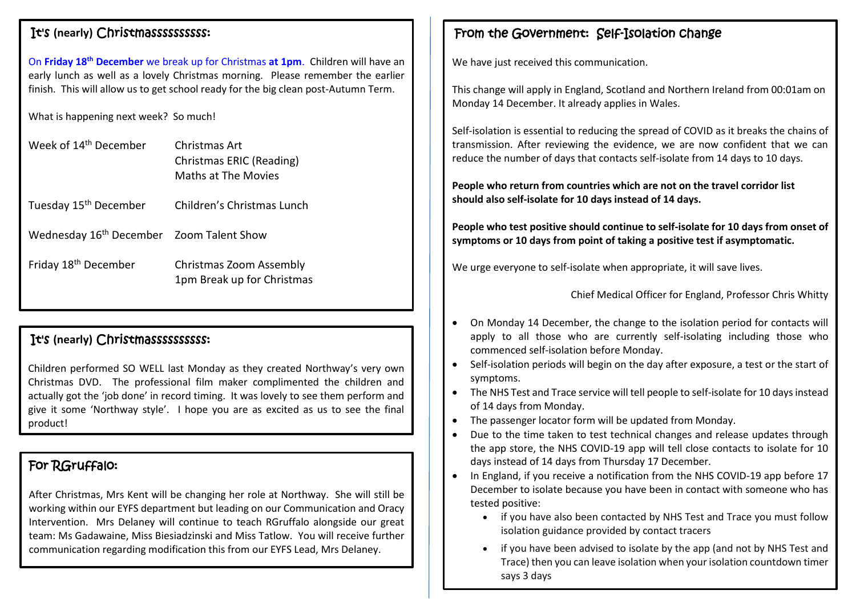#### It's **(nearly)** Christmassssssssss:

On **Friday 18th December** we break up for Christmas **at 1pm**. Children will have an early lunch as well as a lovely Christmas morning. Please remember the earlier finish. This will allow us to get school ready for the big clean post-Autumn Term.

What is happening next week? So much!

| Week of 14 <sup>th</sup> December                    | Christmas Art<br>Christmas ERIC (Reading)<br>Maths at The Movies |  |  |
|------------------------------------------------------|------------------------------------------------------------------|--|--|
| Tuesday 15 <sup>th</sup> December                    | Children's Christmas Lunch                                       |  |  |
| Wednesday 16 <sup>th</sup> December Zoom Talent Show |                                                                  |  |  |
| Friday 18 <sup>th</sup> December                     | Christmas Zoom Assembly<br>1pm Break up for Christmas            |  |  |

### It's **(nearly)** Christmassssssssss:

Children performed SO WELL last Monday as they created Northway's very own Christmas DVD. The professional film maker complimented the children and actually got the 'job done' in record timing. It was lovely to see them perform and give it some 'Northway style'. I hope you are as excited as us to see the final product!

# For RGruffalo:

After Christmas, Mrs Kent will be changing her role at Northway. She will still be working within our EYFS department but leading on our Communication and Oracy Intervention. Mrs Delaney will continue to teach RGruffalo alongside our great team: Ms Gadawaine, Miss Biesiadzinski and Miss Tatlow. You will receive further communication regarding modification this from our EYFS Lead, Mrs Delaney.

# From the Government: Self-Isolation change

We have just received this communication.

This change will apply in England, Scotland and Northern Ireland from 00:01am on Monday 14 December. It already applies in Wales.

Self-isolation is essential to reducing the spread of COVID as it breaks the chains of transmission. After reviewing the evidence, we are now confident that we can reduce the number of days that contacts self-isolate from 14 days to 10 days.

**People who return from countries which are not on the travel corridor list should also self-isolate for 10 days instead of 14 days.**

**People who test positive should continue to self-isolate for 10 days from onset of symptoms or 10 days from point of taking a positive test if asymptomatic.**

We urge everyone to self-isolate when appropriate, it will save lives.

Chief Medical Officer for England, Professor Chris Whitty

- On Monday 14 December, the change to the isolation period for contacts will apply to all those who are currently self-isolating including those who commenced self-isolation before Monday.
- Self-isolation periods will begin on the day after exposure, a test or the start of symptoms.
- The NHS Test and Trace service will tell people to self-isolate for 10 days instead of 14 days from Monday.
- The passenger locator form will be updated from Monday.
- Due to the time taken to test technical changes and release updates through the app store, the NHS COVID-19 app will tell close contacts to isolate for 10 days instead of 14 days from Thursday 17 December.
- In England, if you receive a notification from the NHS COVID-19 app before 17 December to isolate because you have been in contact with someone who has tested positive:
	- if you have also been contacted by NHS Test and Trace you must follow isolation guidance provided by contact tracers
	- if you have been advised to isolate by the app (and not by NHS Test and Trace) then you can leave isolation when your isolation countdown timer says 3 days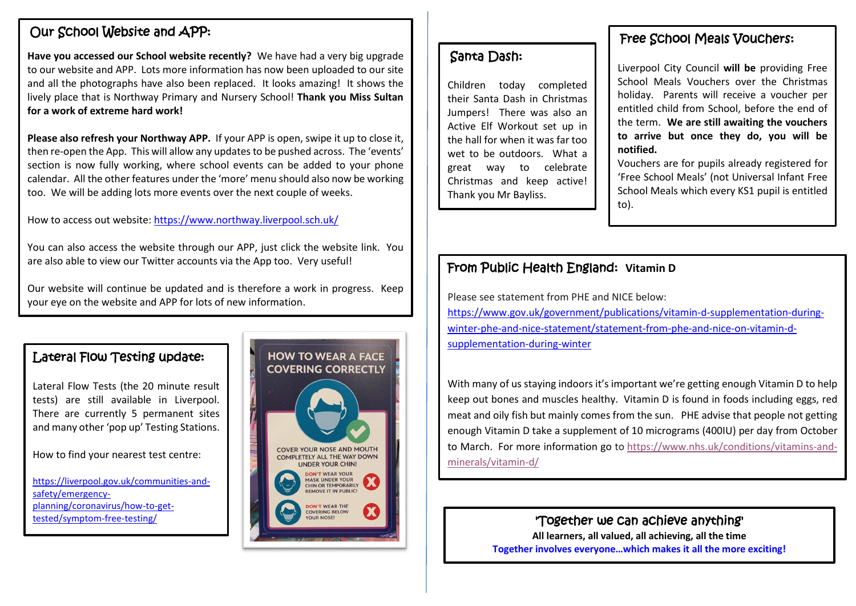## Our School Website and APP:

**Have you accessed our School website recently?** We have had a very big upgrade to our website and APP. Lots more information has now been uploaded to our site and all the photographs have also been replaced. It looks amazing! It shows the lively place that is Northway Primary and Nursery School! **Thank you Miss Sultan for a work of extreme hard work!**

**Please also refresh your Northway APP.** If your APP is open, swipe it up to close it, then re-open the App. This will allow any updates to be pushed across. The 'events' section is now fully working, where school events can be added to your phone calendar. All the other features under the 'more' menu should also now be working too. We will be adding lots more events over the next couple of weeks.

How to access out website:<https://www.northway.liverpool.sch.uk/>

You can also access the website through our APP, just click the website link. You are also able to view our Twitter accounts via the App too. Very useful!

Our website will continue be updated and is therefore a work in progress. Keep your eye on the website and APP for lots of new information.

#### Lateral Flow Testing update:

Lateral Flow Tests (the 20 minute result tests) are still available in Liverpool. There are currently 5 permanent sites and many other 'pop up' Testing Stations.

How to find your nearest test centre:

[https://liverpool.gov.uk/communities-and](https://liverpool.gov.uk/communities-and-safety/emergency-planning/coronavirus/how-to-get-tested/symptom-free-testing/)[safety/emergency](https://liverpool.gov.uk/communities-and-safety/emergency-planning/coronavirus/how-to-get-tested/symptom-free-testing/)[planning/coronavirus/how-to-get](https://liverpool.gov.uk/communities-and-safety/emergency-planning/coronavirus/how-to-get-tested/symptom-free-testing/)[tested/symptom-free-testing/](https://liverpool.gov.uk/communities-and-safety/emergency-planning/coronavirus/how-to-get-tested/symptom-free-testing/)



#### Santa Dash:

Children today completed their Santa Dash in Christmas Jumpers! There was also an Active Elf Workout set up in the hall for when it was far too wet to be outdoors. What a great way to celebrate Christmas and keep active! Thank you Mr Bayliss.

#### Free School Meals Vouchers:

Liverpool City Council **will be** providing Free School Meals Vouchers over the Christmas holiday. Parents will receive a voucher per entitled child from School, before the end of the term. **We are still awaiting the vouchers to arrive but once they do, you will be notified.**

Vouchers are for pupils already registered for 'Free School Meals' (not Universal Infant Free School Meals which every KS1 pupil is entitled to).

# From Public Health England: **Vitamin D**

Please see statement from PHE and NICE below: [https://www.gov.uk/government/publications/vitamin-d-supplementation-during](https://www.gov.uk/government/publications/vitamin-d-supplementation-during-winter-phe-and-nice-statement/statement-from-phe-and-nice-on-vitamin-d-supplementation-during-winter)[winter-phe-and-nice-statement/statement-from-phe-and-nice-on-vitamin-d](https://www.gov.uk/government/publications/vitamin-d-supplementation-during-winter-phe-and-nice-statement/statement-from-phe-and-nice-on-vitamin-d-supplementation-during-winter)[supplementation-during-winter](https://www.gov.uk/government/publications/vitamin-d-supplementation-during-winter-phe-and-nice-statement/statement-from-phe-and-nice-on-vitamin-d-supplementation-during-winter)

With many of us staying indoors it's important we're getting enough Vitamin D to help keep out bones and muscles healthy. Vitamin D is found in foods including eggs, red meat and oily fish but mainly comes from the sun. PHE advise that people not getting enough Vitamin D take a supplement of 10 micrograms (400IU) per day from October to March. For more information go to [https://www.nhs.uk/conditions/vitamins-and](https://www.nhs.uk/conditions/vitamins-and-minerals/vitamin-d/)[minerals/vitamin-d/](https://www.nhs.uk/conditions/vitamins-and-minerals/vitamin-d/)

### 'Together we can achieve anything'

**All learners, all valued, all achieving, all the time Together involves everyone…which makes it all the more exciting!**